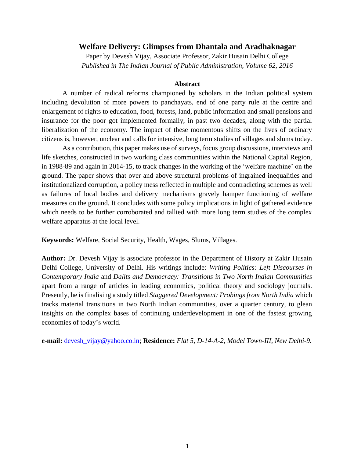# **Welfare Delivery: Glimpses from Dhantala and Aradhaknagar**

Paper by Devesh Vijay, Associate Professor, Zakir Husain Delhi College *Published in The Indian Journal of Public Administration, Volume 62, 2016*

### **Abstract**

A number of radical reforms championed by scholars in the Indian political system including devolution of more powers to panchayats, end of one party rule at the centre and enlargement of rights to education, food, forests, land, public information and small pensions and insurance for the poor got implemented formally, in past two decades, along with the partial liberalization of the economy. The impact of these momentous shifts on the lives of ordinary citizens is, however, unclear and calls for intensive, long term studies of villages and slums today.

As a contribution, this paper makes use of surveys, focus group discussions, interviews and life sketches, constructed in two working class communities within the National Capital Region, in 1988-89 and again in 2014-15, to track changes in the working of the 'welfare machine' on the ground. The paper shows that over and above structural problems of ingrained inequalities and institutionalized corruption, a policy mess reflected in multiple and contradicting schemes as well as failures of local bodies and delivery mechanisms gravely hamper functioning of welfare measures on the ground. It concludes with some policy implications in light of gathered evidence which needs to be further corroborated and tallied with more long term studies of the complex welfare apparatus at the local level.

**Keywords:** Welfare, Social Security, Health, Wages, Slums, Villages.

**Author:** Dr. Devesh Vijay is associate professor in the Department of History at Zakir Husain Delhi College, University of Delhi. His writings include: *Writing Politics: Left Discourses in Contemporary India* and *Dalits and Democracy: Transitions in Two North Indian Communities* apart from a range of articles in leading economics, political theory and sociology journals. Presently, he is finalising a study titled *Staggered Development: Probings from North India* which tracks material transitions in two North Indian communities, over a quarter century, to glean insights on the complex bases of continuing underdevelopment in one of the fastest growing economies of today's world.

**e-mail:** [devesh\\_vijay@yahoo.co.in;](mailto:devesh_vijay@yahoo.co.in) **Residence:** *Flat 5, D-14-A-2, Model Town-III, New Delhi-9.*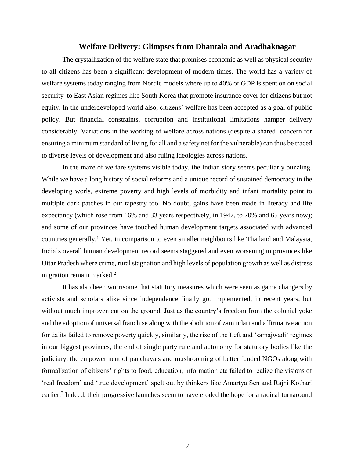### **Welfare Delivery: Glimpses from Dhantala and Aradhaknagar**

The crystallization of the welfare state that promises economic as well as physical security to all citizens has been a significant development of modern times. The world has a variety of welfare systems today ranging from Nordic models where up to 40% of GDP is spent on on social security to East Asian regimes like South Korea that promote insurance cover for citizens but not equity. In the underdeveloped world also, citizens' welfare has been accepted as a goal of public policy. But financial constraints, corruption and institutional limitations hamper delivery considerably. Variations in the working of welfare across nations (despite a shared concern for ensuring a minimum standard of living for all and a safety net for the vulnerable) can thus be traced to diverse levels of development and also ruling ideologies across nations.

In the maze of welfare systems visible today, the Indian story seems peculiarly puzzling. While we have a long history of social reforms and a unique record of sustained democracy in the developing worls, extreme poverty and high levels of morbidity and infant mortality point to multiple dark patches in our tapestry too. No doubt, gains have been made in literacy and life expectancy (which rose from 16% and 33 years respectively, in 1947, to 70% and 65 years now); and some of our provinces have touched human development targets associated with advanced countries generally. <sup>1</sup> Yet, in comparison to even smaller neighbours like Thailand and Malaysia, India's overall human development record seems staggered and even worsening in provinces like Uttar Pradesh where crime, rural stagnation and high levels of population growth as well as distress migration remain marked.<sup>2</sup>

It has also been worrisome that statutory measures which were seen as game changers by activists and scholars alike since independence finally got implemented, in recent years, but without much improvement on the ground. Just as the country's freedom from the colonial yoke and the adoption of universal franchise along with the abolition of zamindari and affirmative action for dalits failed to remove poverty quickly, similarly, the rise of the Left and 'samajwadi' regimes in our biggest provinces, the end of single party rule and autonomy for statutory bodies like the judiciary, the empowerment of panchayats and mushrooming of better funded NGOs along with formalization of citizens' rights to food, education, information etc failed to realize the visions of 'real freedom' and 'true development' spelt out by thinkers like Amartya Sen and Rajni Kothari earlier.<sup>3</sup> Indeed, their progressive launches seem to have eroded the hope for a radical turnaround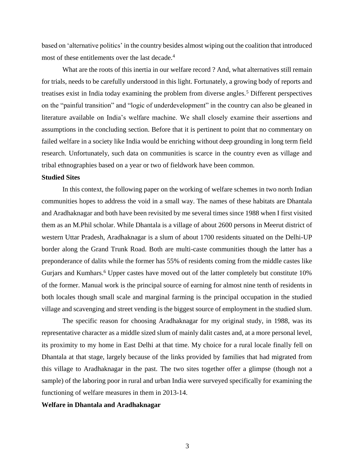based on 'alternative politics' in the country besides almost wiping out the coalition that introduced most of these entitlements over the last decade.<sup>4</sup>

What are the roots of this inertia in our welfare record ? And, what alternatives still remain for trials, needs to be carefully understood in this light. Fortunately, a growing body of reports and treatises exist in India today examining the problem from diverse angles.<sup>5</sup> Different perspectives on the "painful transition" and "logic of underdevelopment" in the country can also be gleaned in literature available on India's welfare machine. We shall closely examine their assertions and assumptions in the concluding section. Before that it is pertinent to point that no commentary on failed welfare in a society like India would be enriching without deep grounding in long term field research. Unfortunately, such data on communities is scarce in the country even as village and tribal ethnographies based on a year or two of fieldwork have been common.

### **Studied Sites**

In this context, the following paper on the working of welfare schemes in two north Indian communities hopes to address the void in a small way. The names of these habitats are Dhantala and Aradhaknagar and both have been revisited by me several times since 1988 when I first visited them as an M.Phil scholar. While Dhantala is a village of about 2600 persons in Meerut district of western Uttar Pradesh, Aradhaknagar is a slum of about 1700 residents situated on the Delhi-UP border along the Grand Trunk Road. Both are multi-caste communities though the latter has a preponderance of dalits while the former has 55% of residents coming from the middle castes like Gurjars and Kumhars.<sup>6</sup> Upper castes have moved out of the latter completely but constitute 10% of the former. Manual work is the principal source of earning for almost nine tenth of residents in both locales though small scale and marginal farming is the principal occupation in the studied village and scavenging and street vending is the biggest source of employment in the studied slum.

The specific reason for choosing Aradhaknagar for my original study, in 1988, was its representative character as a middle sized slum of mainly dalit castes and, at a more personal level, its proximity to my home in East Delhi at that time. My choice for a rural locale finally fell on Dhantala at that stage, largely because of the links provided by families that had migrated from this village to Aradhaknagar in the past. The two sites together offer a glimpse (though not a sample) of the laboring poor in rural and urban India were surveyed specifically for examining the functioning of welfare measures in them in 2013-14.

#### **Welfare in Dhantala and Aradhaknagar**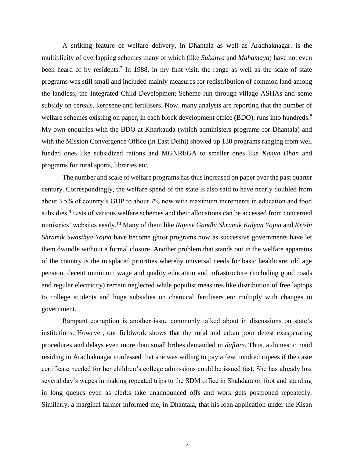A striking feature of welfare delivery, in Dhantala as well as Aradhaknagar, is the multiplicity of overlapping schemes many of which (like *Sukanya* and *Mahamaya*) have not even been heard of by residents.<sup>7</sup> In 1988, in my first visit, the range as well as the scale of state programs was still small and included mainly measures for redistribution of common land among the landless, the Integrated Child Development Scheme run through village ASHAs and some subsidy on cereals, kerosene and fertilisers. Now, many analysts are reporting that the number of welfare schemes existing on paper, in each block development office (BDO), runs into hundreds.<sup>8</sup> My own enquiries with the BDO at Kharkauda (which administers programs for Dhantala) and with the Mission Convergence Office (in East Delhi) showed up 130 programs ranging from well funded ones like subsidized rations and MGNREGA to smaller ones like *Kanya Dhan* and programs for rural sports, libraries etc.

The number and scale of welfare programs has thus increased on paper over the past quarter century. Correspondingly, the welfare spend of the state is also said to have nearly doubled from about 3.5% of country's GDP to about 7% now with maximum increments in education and food subsidies.<sup>9</sup> Lists of various welfare schemes and their allocations can be accessed from concerned ministries' websites easily.<sup>10</sup> Many of them like *Rajeev Gandhi Shramik Kalyan Yojna* and *Krishi Shramik Swasthya Yojna* have become ghost programs now as successive governments have let them dwindle without a formal closure. Another problem that stands out in the welfare apparatus of the country is the misplaced priorities whereby universal needs for basic healthcare, old age pension, decent minimum wage and quality education and infrastructure (including good roads and regular electricity) remain neglected while populist measures like distribution of free laptops to college students and huge subsidies on chemical fertilisers etc multiply with changes in government.

Rampant corruption is another issue commonly talked about in discussions on state's institutions. However, our fieldwork shows that the rural and urban poor detest exasperating procedures and delays even more than small bribes demanded in *daftars*. Thus, a domestic maid residing in Aradhaknagar confessed that she was willing to pay a few hundred rupees if the caste certificate needed for her children's college admissions could be issued fast. She has already lost several day's wages in making repeated trips to the SDM office in Shahdara on foot and standing in long queues even as clerks take unannounced offs and work gets postponed repeatedly. Similarly, a marginal farmer informed me, in Dhantala, that his loan application under the Kisan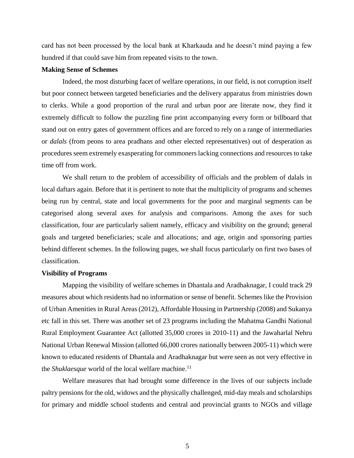card has not been processed by the local bank at Kharkauda and he doesn't mind paying a few hundred if that could save him from repeated visits to the town.

## **Making Sense of Schemes**

Indeed, the most disturbing facet of welfare operations, in our field, is not corruption itself but poor connect between targeted beneficiaries and the delivery apparatus from ministries down to clerks. While a good proportion of the rural and urban poor are literate now, they find it extremely difficult to follow the puzzling fine print accompanying every form or billboard that stand out on entry gates of government offices and are forced to rely on a range of intermediaries or *dalals* (from peons to area pradhans and other elected representatives) out of desperation as procedures seem extremely exasperating for commoners lacking connections and resources to take time off from work.

We shall return to the problem of accessibility of officials and the problem of dalals in local daftars again. Before that it is pertinent to note that the multiplicity of programs and schemes being run by central, state and local governments for the poor and marginal segments can be categorised along several axes for analysis and comparisons. Among the axes for such classification, four are particularly salient namely, efficacy and visibility on the ground; general goals and targeted beneficiaries; scale and allocations; and age, origin and sponsoring parties behind different schemes. In the following pages, we shall focus particularly on first two bases of classification.

#### **Visibility of Programs**

Mapping the visibility of welfare schemes in Dhantala and Aradhaknagar, I could track 29 measures about which residents had no information or sense of benefit. Schemes like the Provision of Urban Amenities in Rural Areas (2012), Affordable Housing in Partnership (2008) and Sukanya etc fall in this set. There was another set of 23 programs including the Mahatma Gandhi National Rural Employment Guarantee Act (allotted 35,000 crores in 2010-11) and the Jawaharlal Nehru National Urban Renewal Mission (allotted 66,000 crores nationally between 2005-11) which were known to educated residents of Dhantala and Aradhaknagar but were seen as not very effective in the *Shuklaesque* world of the local welfare machine.<sup>11</sup>

Welfare measures that had brought some difference in the lives of our subjects include paltry pensions for the old, widows and the physically challenged, mid-day meals and scholarships for primary and middle school students and central and provincial grants to NGOs and village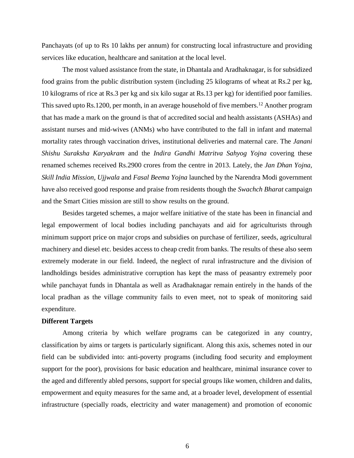Panchayats (of up to Rs 10 lakhs per annum) for constructing local infrastructure and providing services like education, healthcare and sanitation at the local level.

The most valued assistance from the state, in Dhantala and Aradhaknagar, is for subsidized food grains from the public distribution system (including 25 kilograms of wheat at Rs.2 per kg, 10 kilograms of rice at Rs.3 per kg and six kilo sugar at Rs.13 per kg) for identified poor families. This saved upto Rs.1200, per month, in an average household of five members.<sup>12</sup> Another program that has made a mark on the ground is that of accredited social and health assistants (ASHAs) and assistant nurses and mid-wives (ANMs) who have contributed to the fall in infant and maternal mortality rates through vaccination drives, institutional deliveries and maternal care. The *Janani Shishu Suraksha Karyakram* and the *Indira Gandhi Matritva Sahyog Yojna* covering these renamed schemes received Rs.2900 crores from the centre in 2013. Lately, the *Jan Dhan Yojna, Skill India Mission, Ujjwala* and *Fasal Beema Yojna* launched by the Narendra Modi government have also received good response and praise from residents though the *Swachch Bharat* campaign and the Smart Cities mission are still to show results on the ground.

Besides targeted schemes, a major welfare initiative of the state has been in financial and legal empowerment of local bodies including panchayats and aid for agriculturists through minimum support price on major crops and subsidies on purchase of fertilizer, seeds, agricultural machinery and diesel etc. besides access to cheap credit from banks. The results of these also seem extremely moderate in our field. Indeed, the neglect of rural infrastructure and the division of landholdings besides administrative corruption has kept the mass of peasantry extremely poor while panchayat funds in Dhantala as well as Aradhaknagar remain entirely in the hands of the local pradhan as the village community fails to even meet, not to speak of monitoring said expenditure.

## **Different Targets**

Among criteria by which welfare programs can be categorized in any country, classification by aims or targets is particularly significant. Along this axis, schemes noted in our field can be subdivided into: anti-poverty programs (including food security and employment support for the poor), provisions for basic education and healthcare, minimal insurance cover to the aged and differently abled persons, support for special groups like women, children and dalits, empowerment and equity measures for the same and, at a broader level, development of essential infrastructure (specially roads, electricity and water management) and promotion of economic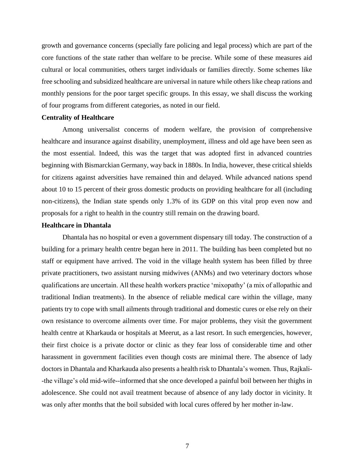growth and governance concerns (specially fare policing and legal process) which are part of the core functions of the state rather than welfare to be precise. While some of these measures aid cultural or local communities, others target individuals or families directly. Some schemes like free schooling and subsidized healthcare are universal in nature while others like cheap rations and monthly pensions for the poor target specific groups. In this essay, we shall discuss the working of four programs from different categories, as noted in our field.

#### **Centrality of Healthcare**

Among universalist concerns of modern welfare, the provision of comprehensive healthcare and insurance against disability, unemployment, illness and old age have been seen as the most essential. Indeed, this was the target that was adopted first in advanced countries beginning with Bismarckian Germany, way back in 1880s. In India, however, these critical shields for citizens against adversities have remained thin and delayed. While advanced nations spend about 10 to 15 percent of their gross domestic products on providing healthcare for all (including non-citizens), the Indian state spends only 1.3% of its GDP on this vital prop even now and proposals for a right to health in the country still remain on the drawing board.

#### **Healthcare in Dhantala**

Dhantala has no hospital or even a government dispensary till today. The construction of a building for a primary health centre began here in 2011. The building has been completed but no staff or equipment have arrived. The void in the village health system has been filled by three private practitioners, two assistant nursing midwives (ANMs) and two veterinary doctors whose qualifications are uncertain. All these health workers practice 'mixopathy' (a mix of allopathic and traditional Indian treatments). In the absence of reliable medical care within the village, many patients try to cope with small ailments through traditional and domestic cures or else rely on their own resistance to overcome ailments over time. For major problems, they visit the government health centre at Kharkauda or hospitals at Meerut, as a last resort. In such emergencies, however, their first choice is a private doctor or clinic as they fear loss of considerable time and other harassment in government facilities even though costs are minimal there. The absence of lady doctors in Dhantala and Kharkauda also presents a health risk to Dhantala's women. Thus, Rajkali- -the village's old mid-wife--informed that she once developed a painful boil between her thighs in adolescence. She could not avail treatment because of absence of any lady doctor in vicinity. It was only after months that the boil subsided with local cures offered by her mother in-law.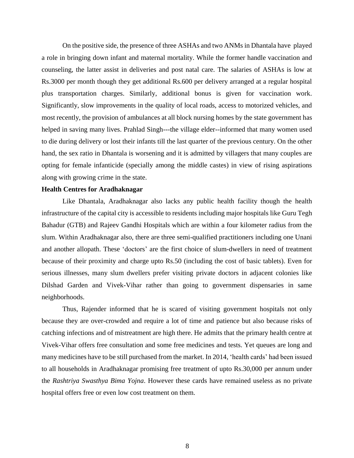On the positive side, the presence of three ASHAs and two ANMs in Dhantala have played a role in bringing down infant and maternal mortality. While the former handle vaccination and counseling, the latter assist in deliveries and post natal care. The salaries of ASHAs is low at Rs.3000 per month though they get additional Rs.600 per delivery arranged at a regular hospital plus transportation charges. Similarly, additional bonus is given for vaccination work. Significantly, slow improvements in the quality of local roads, access to motorized vehicles, and most recently, the provision of ambulances at all block nursing homes by the state government has helped in saving many lives. Prahlad Singh---the village elder--informed that many women used to die during delivery or lost their infants till the last quarter of the previous century. On the other hand, the sex ratio in Dhantala is worsening and it is admitted by villagers that many couples are opting for female infanticide (specially among the middle castes) in view of rising aspirations along with growing crime in the state.

### **Health Centres for Aradhaknagar**

Like Dhantala, Aradhaknagar also lacks any public health facility though the health infrastructure of the capital city is accessible to residents including major hospitals like Guru Tegh Bahadur (GTB) and Rajeev Gandhi Hospitals which are within a four kilometer radius from the slum. Within Aradhaknagar also, there are three semi-qualified practitioners including one Unani and another allopath. These 'doctors' are the first choice of slum-dwellers in need of treatment because of their proximity and charge upto Rs.50 (including the cost of basic tablets). Even for serious illnesses, many slum dwellers prefer visiting private doctors in adjacent colonies like Dilshad Garden and Vivek-Vihar rather than going to government dispensaries in same neighborhoods.

Thus, Rajender informed that he is scared of visiting government hospitals not only because they are over-crowded and require a lot of time and patience but also because risks of catching infections and of mistreatment are high there. He admits that the primary health centre at Vivek-Vihar offers free consultation and some free medicines and tests. Yet queues are long and many medicines have to be still purchased from the market. In 2014, 'health cards' had been issued to all households in Aradhaknagar promising free treatment of upto Rs.30,000 per annum under the *Rashtriya Swasthya Bima Yojna*. However these cards have remained useless as no private hospital offers free or even low cost treatment on them.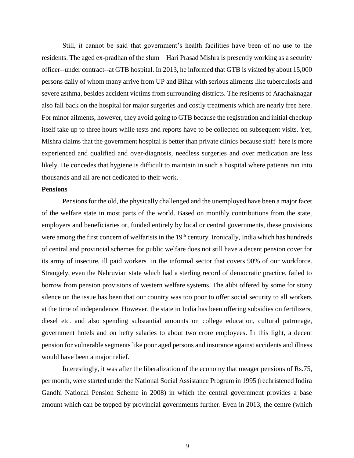Still, it cannot be said that government's health facilities have been of no use to the residents. The aged ex-pradhan of the slum—Hari Prasad Mishra is presently working as a security officer--under contract--at GTB hospital. In 2013, he informed that GTB is visited by about 15,000 persons daily of whom many arrive from UP and Bihar with serious ailments like tuberculosis and severe asthma, besides accident victims from surrounding districts. The residents of Aradhaknagar also fall back on the hospital for major surgeries and costly treatments which are nearly free here. For minor ailments, however, they avoid going to GTB because the registration and initial checkup itself take up to three hours while tests and reports have to be collected on subsequent visits. Yet, Mishra claims that the government hospital is better than private clinics because staff here is more experienced and qualified and over-diagnosis, needless surgeries and over medication are less likely. He concedes that hygiene is difficult to maintain in such a hospital where patients run into thousands and all are not dedicated to their work.

### **Pensions**

Pensions for the old, the physically challenged and the unemployed have been a major facet of the welfare state in most parts of the world. Based on monthly contributions from the state, employers and beneficiaries or, funded entirely by local or central governments, these provisions were among the first concern of welfarists in the 19<sup>th</sup> century. Ironically, India which has hundreds of central and provincial schemes for public welfare does not still have a decent pension cover for its army of insecure, ill paid workers in the informal sector that covers 90% of our workforce. Strangely, even the Nehruvian state which had a sterling record of democratic practice, failed to borrow from pension provisions of western welfare systems. The alibi offered by some for stony silence on the issue has been that our country was too poor to offer social security to all workers at the time of independence. However, the state in India has been offering subsidies on fertilizers, diesel etc. and also spending substantial amounts on college education, cultural patronage, government hotels and on hefty salaries to about two crore employees. In this light, a decent pension for vulnerable segments like poor aged persons and insurance against accidents and illness would have been a major relief.

Interestingly, it was after the liberalization of the economy that meager pensions of Rs.75, per month, were started under the National Social Assistance Program in 1995 (rechristened Indira Gandhi National Pension Scheme in 2008) in which the central government provides a base amount which can be topped by provincial governments further. Even in 2013, the centre (which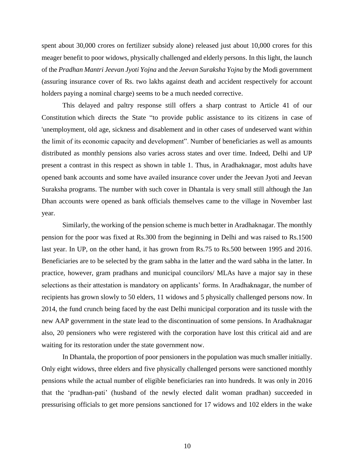spent about 30,000 crores on fertilizer subsidy alone) released just about 10,000 crores for this meager benefit to poor widows, physically challenged and elderly persons. In this light, the launch of the *Pradhan Mantri Jeevan Jyoti Yojna* and the *Jeevan Suraksha Yojna* by the Modi government (assuring insurance cover of Rs. two lakhs against death and accident respectively for account holders paying a nominal charge) seems to be a much needed corrective.

This delayed and paltry response still offers a sharp contrast to Article 41 of our Constitution which directs the State "to provide public assistance to its citizens in case of 'unemployment, old age, sickness and disablement and in other cases of undeserved want within the limit of its economic capacity and development". Number of beneficiaries as well as amounts distributed as monthly pensions also varies across states and over time. Indeed, Delhi and UP present a contrast in this respect as shown in table 1. Thus, in Aradhaknagar, most adults have opened bank accounts and some have availed insurance cover under the Jeevan Jyoti and Jeevan Suraksha programs. The number with such cover in Dhantala is very small still although the Jan Dhan accounts were opened as bank officials themselves came to the village in November last year.

Similarly, the working of the pension scheme is much better in Aradhaknagar. The monthly pension for the poor was fixed at Rs.300 from the beginning in Delhi and was raised to Rs.1500 last year. In UP, on the other hand, it has grown from Rs.75 to Rs.500 between 1995 and 2016. Beneficiaries are to be selected by the gram sabha in the latter and the ward sabha in the latter. In practice, however, gram pradhans and municipal councilors/ MLAs have a major say in these selections as their attestation is mandatory on applicants' forms. In Aradhaknagar, the number of recipients has grown slowly to 50 elders, 11 widows and 5 physically challenged persons now. In 2014, the fund crunch being faced by the east Delhi municipal corporation and its tussle with the new AAP government in the state lead to the discontinuation of some pensions. In Aradhaknagar also, 20 pensioners who were registered with the corporation have lost this critical aid and are waiting for its restoration under the state government now.

In Dhantala, the proportion of poor pensioners in the population was much smaller initially. Only eight widows, three elders and five physically challenged persons were sanctioned monthly pensions while the actual number of eligible beneficiaries ran into hundreds. It was only in 2016 that the 'pradhan-pati' (husband of the newly elected dalit woman pradhan) succeeded in pressurising officials to get more pensions sanctioned for 17 widows and 102 elders in the wake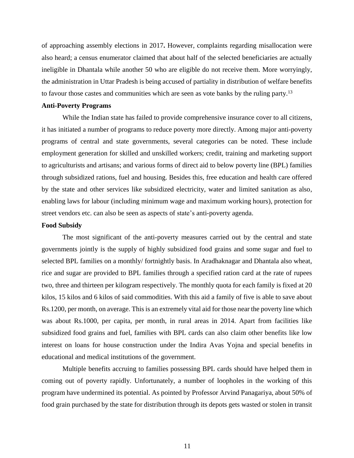of approaching assembly elections in 2017**.** However, complaints regarding misallocation were also heard; a census enumerator claimed that about half of the selected beneficiaries are actually ineligible in Dhantala while another 50 who are eligible do not receive them. More worryingly, the administration in Uttar Pradesh is being accused of partiality in distribution of welfare benefits to favour those castes and communities which are seen as vote banks by the ruling party.<sup>13</sup>

### **Anti-Poverty Programs**

While the Indian state has failed to provide comprehensive insurance cover to all citizens, it has initiated a number of programs to reduce poverty more directly. Among major anti-poverty programs of central and state governments, several categories can be noted. These include employment generation for skilled and unskilled workers; credit, training and marketing support to agriculturists and artisans; and various forms of direct aid to below poverty line (BPL) families through subsidized rations, fuel and housing. Besides this, free education and health care offered by the state and other services like subsidized electricity, water and limited sanitation as also, enabling laws for labour (including minimum wage and maximum working hours), protection for street vendors etc. can also be seen as aspects of state's anti-poverty agenda.

#### **Food Subsidy**

The most significant of the anti-poverty measures carried out by the central and state governments jointly is the supply of highly subsidized food grains and some sugar and fuel to selected BPL families on a monthly/ fortnightly basis. In Aradhaknagar and Dhantala also wheat, rice and sugar are provided to BPL families through a specified ration card at the rate of rupees two, three and thirteen per kilogram respectively. The monthly quota for each family is fixed at 20 kilos, 15 kilos and 6 kilos of said commodities. With this aid a family of five is able to save about Rs.1200, per month, on average. This is an extremely vital aid for those near the poverty line which was about Rs.1000, per capita, per month, in rural areas in 2014. Apart from facilities like subsidized food grains and fuel, families with BPL cards can also claim other benefits like low interest on loans for house construction under the Indira Avas Yojna and special benefits in educational and medical institutions of the government.

Multiple benefits accruing to families possessing BPL cards should have helped them in coming out of poverty rapidly. Unfortunately, a number of loopholes in the working of this program have undermined its potential. As pointed by Professor Arvind Panagariya, about 50% of food grain purchased by the state for distribution through its depots gets wasted or stolen in transit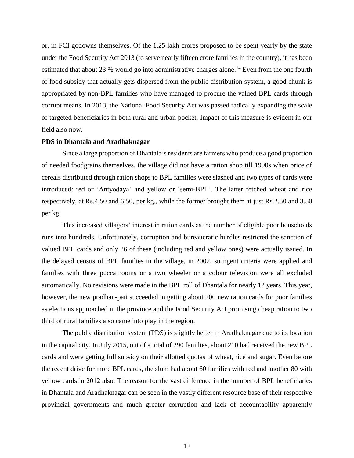or, in FCI godowns themselves. Of the 1.25 lakh crores proposed to be spent yearly by the state under the Food Security Act 2013 (to serve nearly fifteen crore families in the country), it has been estimated that about 23 % would go into administrative charges alone.<sup>14</sup> Even from the one fourth of food subsidy that actually gets dispersed from the public distribution system, a good chunk is appropriated by non-BPL families who have managed to procure the valued BPL cards through corrupt means. In 2013, the National Food Security Act was passed radically expanding the scale of targeted beneficiaries in both rural and urban pocket. Impact of this measure is evident in our field also now.

#### **PDS in Dhantala and Aradhaknagar**

Since a large proportion of Dhantala's residents are farmers who produce a good proportion of needed foodgrains themselves, the village did not have a ration shop till 1990s when price of cereals distributed through ration shops to BPL families were slashed and two types of cards were introduced: red or 'Antyodaya' and yellow or 'semi-BPL'. The latter fetched wheat and rice respectively, at Rs.4.50 and 6.50, per kg., while the former brought them at just Rs.2.50 and 3.50 per kg.

This increased villagers' interest in ration cards as the number of eligible poor households runs into hundreds. Unfortunately, corruption and bureaucratic hurdles restricted the sanction of valued BPL cards and only 26 of these (including red and yellow ones) were actually issued. In the delayed census of BPL families in the village, in 2002, stringent criteria were applied and families with three pucca rooms or a two wheeler or a colour television were all excluded automatically. No revisions were made in the BPL roll of Dhantala for nearly 12 years. This year, however, the new pradhan-pati succeeded in getting about 200 new ration cards for poor families as elections approached in the province and the Food Security Act promising cheap ration to two third of rural families also came into play in the region.

The public distribution system (PDS) is slightly better in Aradhaknagar due to its location in the capital city. In July 2015, out of a total of 290 families, about 210 had received the new BPL cards and were getting full subsidy on their allotted quotas of wheat, rice and sugar. Even before the recent drive for more BPL cards, the slum had about 60 families with red and another 80 with yellow cards in 2012 also. The reason for the vast difference in the number of BPL beneficiaries in Dhantala and Aradhaknagar can be seen in the vastly different resource base of their respective provincial governments and much greater corruption and lack of accountability apparently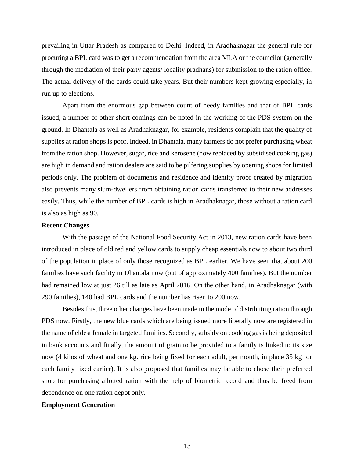prevailing in Uttar Pradesh as compared to Delhi. Indeed, in Aradhaknagar the general rule for procuring a BPL card was to get a recommendation from the area MLA or the councilor (generally through the mediation of their party agents/ locality pradhans) for submission to the ration office. The actual delivery of the cards could take years. But their numbers kept growing especially, in run up to elections.

Apart from the enormous gap between count of needy families and that of BPL cards issued, a number of other short comings can be noted in the working of the PDS system on the ground. In Dhantala as well as Aradhaknagar, for example, residents complain that the quality of supplies at ration shops is poor. Indeed, in Dhantala, many farmers do not prefer purchasing wheat from the ration shop. However, sugar, rice and kerosene (now replaced by subsidised cooking gas) are high in demand and ration dealers are said to be pilfering supplies by opening shops for limited periods only. The problem of documents and residence and identity proof created by migration also prevents many slum-dwellers from obtaining ration cards transferred to their new addresses easily. Thus, while the number of BPL cards is high in Aradhaknagar, those without a ration card is also as high as 90.

### **Recent Changes**

With the passage of the National Food Security Act in 2013, new ration cards have been introduced in place of old red and yellow cards to supply cheap essentials now to about two third of the population in place of only those recognized as BPL earlier. We have seen that about 200 families have such facility in Dhantala now (out of approximately 400 families). But the number had remained low at just 26 till as late as April 2016. On the other hand, in Aradhaknagar (with 290 families), 140 had BPL cards and the number has risen to 200 now.

Besides this, three other changes have been made in the mode of distributing ration through PDS now. Firstly, the new blue cards which are being issued more liberally now are registered in the name of eldest female in targeted families. Secondly, subsidy on cooking gas is being deposited in bank accounts and finally, the amount of grain to be provided to a family is linked to its size now (4 kilos of wheat and one kg. rice being fixed for each adult, per month, in place 35 kg for each family fixed earlier). It is also proposed that families may be able to chose their preferred shop for purchasing allotted ration with the help of biometric record and thus be freed from dependence on one ration depot only.

#### **Employment Generation**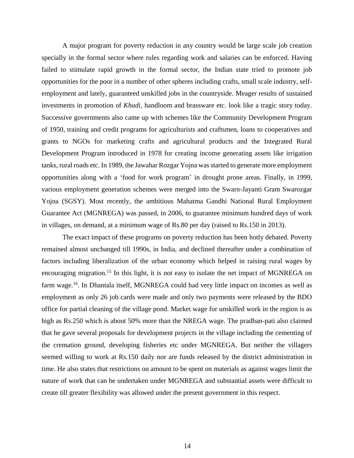A major program for poverty reduction in any country would be large scale job creation specially in the formal sector where rules regarding work and salaries can be enforced. Having failed to stimulate rapid growth in the formal sector, the Indian state tried to promote job opportunities for the poor in a number of other spheres including crafts, small scale industry, selfemployment and lately, guaranteed unskilled jobs in the countryside. Meager results of sustained investments in promotion of *Khadi*, handloom and brassware etc. look like a tragic story today. Successive governments also came up with schemes like the Community Development Program of 1950, training and credit programs for agriculturists and craftsmen, loans to cooperatives and grants to NGOs for marketing crafts and agricultural products and the Integrated Rural Development Program introduced in 1978 for creating income generating assets like irrigation tanks, rural roads etc. In 1989, the Jawahar Rozgar Yojna was started to generate more employment opportunities along with a 'food for work program' in drought prone areas. Finally, in 1999, various employment generation schemes were merged into the Swarn-Jayanti Gram Swarozgar Yojna (SGSY). Most recently, the ambitious Mahatma Gandhi National Rural Employment Guarantee Act (MGNREGA) was passed, in 2006, to guarantee minimum hundred days of work in villages, on demand, at a minimum wage of Rs.80 per day (raised to Rs.150 in 2013).

The exact impact of these programs on poverty reduction has been hotly debated. Poverty remained almost unchanged till 1990s, in India, and declined thereafter under a combination of factors including liberalization of the urban economy which helped in raising rural wages by encouraging migration.<sup>15</sup> In this light, it is not easy to isolate the net impact of MGNREGA on farm wage.<sup>16</sup>. In Dhantala itself, MGNREGA could had very little impact on incomes as well as employment as only 26 job cards were made and only two payments were released by the BDO office for partial cleaning of the village pond. Market wage for unskilled work in the region is as high as Rs.250 which is about 50% more than the NREGA wage. The pradhan-pati also claimed that he gave several proposals for development projects in the village including the cementing of the cremation ground, developing fisheries etc under MGNREGA. But neither the villagers seemed willing to work at Rs.150 daily nor are funds released by the district administration in time. He also states that restrictions on amount to be spent on materials as against wages limit the nature of work that can be undertaken under MGNREGA and substantial assets were difficult to create till greater flexibility was allowed under the present government in this respect.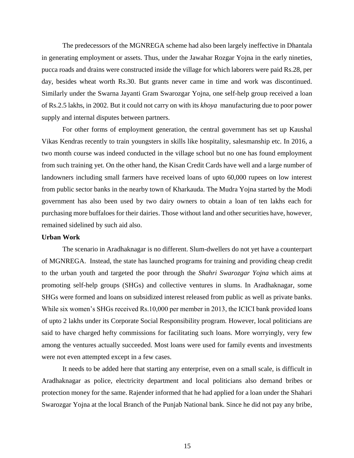The predecessors of the MGNREGA scheme had also been largely ineffective in Dhantala in generating employment or assets. Thus, under the Jawahar Rozgar Yojna in the early nineties, pucca roads and drains were constructed inside the village for which laborers were paid Rs.28, per day, besides wheat worth Rs.30. But grants never came in time and work was discontinued. Similarly under the Swarna Jayanti Gram Swarozgar Yojna, one self-help group received a loan of Rs.2.5 lakhs, in 2002. But it could not carry on with its *khoya* manufacturing due to poor power supply and internal disputes between partners.

For other forms of employment generation, the central government has set up Kaushal Vikas Kendras recently to train youngsters in skills like hospitality, salesmanship etc. In 2016, a two month course was indeed conducted in the village school but no one has found employment from such training yet. On the other hand, the Kisan Credit Cards have well and a large number of landowners including small farmers have received loans of upto 60,000 rupees on low interest from public sector banks in the nearby town of Kharkauda. The Mudra Yojna started by the Modi government has also been used by two dairy owners to obtain a loan of ten lakhs each for purchasing more buffaloes for their dairies. Those without land and other securities have, however, remained sidelined by such aid also.

#### **Urban Work**

The scenario in Aradhaknagar is no different. Slum-dwellers do not yet have a counterpart of MGNREGA. Instead, the state has launched programs for training and providing cheap credit to the urban youth and targeted the poor through the *Shahri Swarozgar Yojna* which aims at promoting self-help groups (SHGs) and collective ventures in slums. In Aradhaknagar, some SHGs were formed and loans on subsidized interest released from public as well as private banks. While six women's SHGs received Rs.10,000 per member in 2013, the ICICI bank provided loans of upto 2 lakhs under its Corporate Social Responsibility program. However, local politicians are said to have charged hefty commissions for facilitating such loans. More worryingly, very few among the ventures actually succeeded. Most loans were used for family events and investments were not even attempted except in a few cases.

It needs to be added here that starting any enterprise, even on a small scale, is difficult in Aradhaknagar as police, electricity department and local politicians also demand bribes or protection money for the same. Rajender informed that he had applied for a loan under the Shahari Swarozgar Yojna at the local Branch of the Punjab National bank. Since he did not pay any bribe,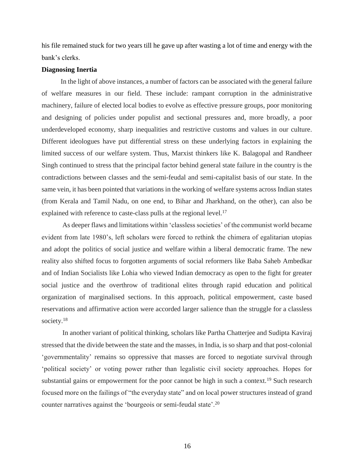his file remained stuck for two years till he gave up after wasting a lot of time and energy with the bank's clerks.

### **Diagnosing Inertia**

 In the light of above instances, a number of factors can be associated with the general failure of welfare measures in our field. These include: rampant corruption in the administrative machinery, failure of elected local bodies to evolve as effective pressure groups, poor monitoring and designing of policies under populist and sectional pressures and, more broadly, a poor underdeveloped economy, sharp inequalities and restrictive customs and values in our culture. Different ideologues have put differential stress on these underlying factors in explaining the limited success of our welfare system. Thus, Marxist thinkers like K. Balagopal and Randheer Singh continued to stress that the principal factor behind general state failure in the country is the contradictions between classes and the semi-feudal and semi-capitalist basis of our state. In the same vein, it has been pointed that variations in the working of welfare systems across Indian states (from Kerala and Tamil Nadu, on one end, to Bihar and Jharkhand, on the other), can also be explained with reference to caste-class pulls at the regional level.<sup>17</sup>

As deeper flaws and limitations within 'classless societies' of the communist world became evident from late 1980's, left scholars were forced to rethink the chimera of egalitarian utopias and adopt the politics of social justice and welfare within a liberal democratic frame. The new reality also shifted focus to forgotten arguments of social reformers like Baba Saheb Ambedkar and of Indian Socialists like Lohia who viewed Indian democracy as open to the fight for greater social justice and the overthrow of traditional elites through rapid education and political organization of marginalised sections. In this approach, political empowerment, caste based reservations and affirmative action were accorded larger salience than the struggle for a classless society.<sup>18</sup>

In another variant of political thinking, scholars like Partha Chatterjee and Sudipta Kaviraj stressed that the divide between the state and the masses, in India, is so sharp and that post-colonial 'governmentality' remains so oppressive that masses are forced to negotiate survival through 'political society' or voting power rather than legalistic civil society approaches. Hopes for substantial gains or empowerment for the poor cannot be high in such a context.<sup>19</sup> Such research focused more on the failings of "the everyday state" and on local power structures instead of grand counter narratives against the 'bourgeois or semi-feudal state'.20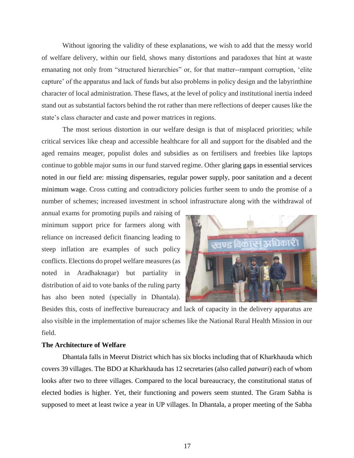Without ignoring the validity of these explanations, we wish to add that the messy world of welfare delivery, within our field, shows many distortions and paradoxes that hint at waste emanating not only from "structured hierarchies" or, for that matter--rampant corruption, 'elite capture' of the apparatus and lack of funds but also problems in policy design and the labyrinthine character of local administration. These flaws, at the level of policy and institutional inertia indeed stand out as substantial factors behind the rot rather than mere reflections of deeper causes like the state's class character and caste and power matrices in regions.

The most serious distortion in our welfare design is that of misplaced priorities; while critical services like cheap and accessible healthcare for all and support for the disabled and the aged remains meager, populist doles and subsidies as on fertilisers and freebies like laptops continue to gobble major sums in our fund starved regime. Other glaring gaps in essential services noted in our field are: missing dispensaries, regular power supply, poor sanitation and a decent minimum wage. Cross cutting and contradictory policies further seem to undo the promise of a number of schemes; increased investment in school infrastructure along with the withdrawal of

annual exams for promoting pupils and raising of minimum support price for farmers along with reliance on increased deficit financing leading to steep inflation are examples of such policy conflicts. Elections do propel welfare measures (as noted in Aradhaknagar) but partiality in distribution of aid to vote banks of the ruling party has also been noted (specially in Dhantala).



Besides this, costs of ineffective bureaucracy and lack of capacity in the delivery apparatus are also visible in the implementation of major schemes like the National Rural Health Mission in our field.

### **The Architecture of Welfare**

Dhantala falls in Meerut District which has six blocks including that of Kharkhauda which covers 39 villages. The BDO at Kharkhauda has 12 secretaries (also called *patwari*) each of whom looks after two to three villages. Compared to the local bureaucracy, the constitutional status of elected bodies is higher. Yet, their functioning and powers seem stunted. The Gram Sabha is supposed to meet at least twice a year in UP villages. In Dhantala, a proper meeting of the Sabha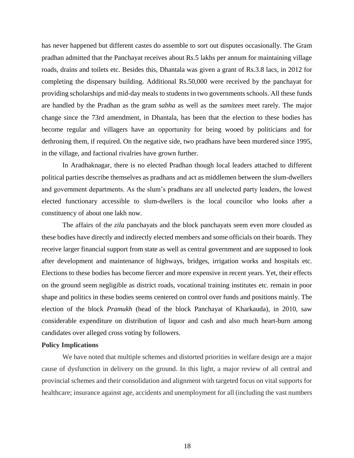has never happened but different castes do assemble to sort out disputes occasionally. The Gram pradhan admitted that the Panchayat receives about Rs.5 lakhs per annum for maintaining village roads, drains and toilets etc. Besides this, Dhantala was given a grant of Rs.3.8 lacs, in 2012 for completing the dispensary building. Additional Rs.50,000 were received by the panchayat for providing scholarships and mid-day meals to students in two governments schools. All these funds are handled by the Pradhan as the gram *sabha* as well as the *samitees* meet rarely. The major change since the 73rd amendment, in Dhantala, has been that the election to these bodies has become regular and villagers have an opportunity for being wooed by politicians and for dethroning them, if required. On the negative side, two pradhans have been murdered since 1995, in the village, and factional rivalries have grown further.

In Aradhaknagar, there is no elected Pradhan though local leaders attached to different political parties describe themselves as pradhans and act as middlemen between the slum-dwellers and government departments. As the slum's pradhans are all unelected party leaders, the lowest elected functionary accessible to slum-dwellers is the local councilor who looks after a constituency of about one lakh now.

The affairs of the *zila* panchayats and the block panchayats seem even more clouded as these bodies have directly and indirectly elected members and some officials on their boards. They receive larger financial support from state as well as central government and are supposed to look after development and maintenance of highways, bridges, irrigation works and hospitals etc. Elections to these bodies has become fiercer and more expensive in recent years. Yet, their effects on the ground seem negligible as district roads, vocational training institutes etc. remain in poor shape and politics in these bodies seems centered on control over funds and positions mainly. The election of the block *Pramukh* (head of the block Panchayat of Kharkauda), in 2010, saw considerable expenditure on distribution of liquor and cash and also much heart-burn among candidates over alleged cross voting by followers.

## **Policy Implications**

We have noted that multiple schemes and distorted priorities in welfare design are a major cause of dysfunction in delivery on the ground. In this light, a major review of all central and provincial schemes and their consolidation and alignment with targeted focus on vital supports for healthcare; insurance against age, accidents and unemployment for all (including the vast numbers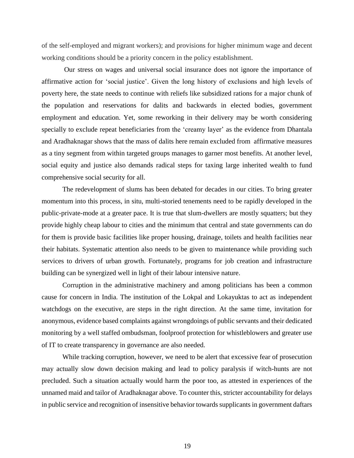of the self-employed and migrant workers); and provisions for higher minimum wage and decent working conditions should be a priority concern in the policy establishment.

Our stress on wages and universal social insurance does not ignore the importance of affirmative action for 'social justice'. Given the long history of exclusions and high levels of poverty here, the state needs to continue with reliefs like subsidized rations for a major chunk of the population and reservations for dalits and backwards in elected bodies, government employment and education. Yet, some reworking in their delivery may be worth considering specially to exclude repeat beneficiaries from the 'creamy layer' as the evidence from Dhantala and Aradhaknagar shows that the mass of dalits here remain excluded from affirmative measures as a tiny segment from within targeted groups manages to garner most benefits. At another level, social equity and justice also demands radical steps for taxing large inherited wealth to fund comprehensive social security for all.

The redevelopment of slums has been debated for decades in our cities. To bring greater momentum into this process, in situ, multi-storied tenements need to be rapidly developed in the public-private-mode at a greater pace. It is true that slum-dwellers are mostly squatters; but they provide highly cheap labour to cities and the minimum that central and state governments can do for them is provide basic facilities like proper housing, drainage, toilets and health facilities near their habitats. Systematic attention also needs to be given to maintenance while providing such services to drivers of urban growth. Fortunately, programs for job creation and infrastructure building can be synergized well in light of their labour intensive nature.

Corruption in the administrative machinery and among politicians has been a common cause for concern in India. The institution of the Lokpal and Lokayuktas to act as independent watchdogs on the executive, are steps in the right direction. At the same time, invitation for anonymous, evidence based complaints against wrongdoings of public servants and their dedicated monitoring by a well staffed ombudsman, foolproof protection for whistleblowers and greater use of IT to create transparency in governance are also needed.

While tracking corruption, however, we need to be alert that excessive fear of prosecution may actually slow down decision making and lead to policy paralysis if witch-hunts are not precluded. Such a situation actually would harm the poor too, as attested in experiences of the unnamed maid and tailor of Aradhaknagar above. To counter this, stricter accountability for delays in public service and recognition of insensitive behavior towards supplicants in government daftars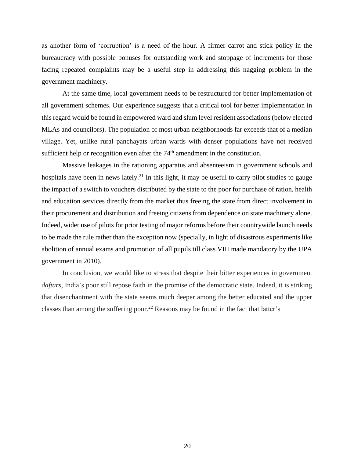as another form of 'corruption' is a need of the hour. A firmer carrot and stick policy in the bureaucracy with possible bonuses for outstanding work and stoppage of increments for those facing repeated complaints may be a useful step in addressing this nagging problem in the government machinery.

At the same time, local government needs to be restructured for better implementation of all government schemes. Our experience suggests that a critical tool for better implementation in this regard would be found in empowered ward and slum level resident associations (below elected MLAs and councilors). The population of most urban neighborhoods far exceeds that of a median village. Yet, unlike rural panchayats urban wards with denser populations have not received sufficient help or recognition even after the  $74<sup>th</sup>$  amendment in the constitution.

Massive leakages in the rationing apparatus and absenteeism in government schools and hospitals have been in news lately.<sup>21</sup> In this light, it may be useful to carry pilot studies to gauge the impact of a switch to vouchers distributed by the state to the poor for purchase of ration, health and education services directly from the market thus freeing the state from direct involvement in their procurement and distribution and freeing citizens from dependence on state machinery alone. Indeed, wider use of pilots for prior testing of major reforms before their countrywide launch needs to be made the rule rather than the exception now (specially, in light of disastrous experiments like abolition of annual exams and promotion of all pupils till class VIII made mandatory by the UPA government in 2010).

In conclusion, we would like to stress that despite their bitter experiences in government *daftars*, India's poor still repose faith in the promise of the democratic state. Indeed, it is striking that disenchantment with the state seems much deeper among the better educated and the upper classes than among the suffering poor.<sup>22</sup> Reasons may be found in the fact that latter's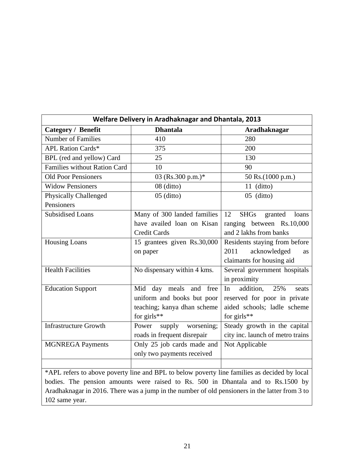| Welfare Delivery in Aradhaknagar and Dhantala, 2013                                            |                               |                                       |
|------------------------------------------------------------------------------------------------|-------------------------------|---------------------------------------|
| <b>Category / Benefit</b>                                                                      | <b>Dhantala</b>               | <b>Aradhaknagar</b>                   |
| <b>Number of Families</b>                                                                      | 410                           | 280                                   |
| <b>APL Ration Cards*</b>                                                                       | 375                           | 200                                   |
| BPL (red and yellow) Card                                                                      | 25                            | 130                                   |
| <b>Families without Ration Card</b>                                                            | 10                            | 90                                    |
| <b>Old Poor Pensioners</b>                                                                     | 03 (Rs.300 p.m.)*             | 50 Rs.(1000 p.m.)                     |
| <b>Widow Pensioners</b>                                                                        | $08$ (ditto)                  | $11$ (ditto)                          |
| <b>Physically Challenged</b>                                                                   | $05$ (ditto)                  | $05$ (ditto)                          |
| Pensioners                                                                                     |                               |                                       |
| <b>Subsidised Loans</b>                                                                        | Many of 300 landed families   | 12<br><b>SHGs</b><br>loans<br>granted |
|                                                                                                | have availed loan on Kisan    | ranging between Rs.10,000             |
|                                                                                                | <b>Credit Cards</b>           | and 2 lakhs from banks                |
| <b>Housing Loans</b>                                                                           | 15 grantees given Rs.30,000   | Residents staying from before         |
|                                                                                                | on paper                      | acknowledged<br>2011<br><b>as</b>     |
|                                                                                                |                               | claimants for housing aid             |
| <b>Health Facilities</b>                                                                       | No dispensary within 4 kms.   | Several government hospitals          |
|                                                                                                |                               | in proximity                          |
| <b>Education Support</b>                                                                       | Mid day meals and<br>free     | addition,<br>In<br>25%<br>seats       |
|                                                                                                | uniform and books but poor    | reserved for poor in private          |
|                                                                                                | teaching; kanya dhan scheme   | aided schools; ladle scheme           |
|                                                                                                | for $girls**$                 | for $girls**$                         |
| <b>Infrastructure Growth</b>                                                                   | Power<br>supply<br>worsening; | Steady growth in the capital          |
|                                                                                                | roads in frequent disrepair   | city inc. launch of metro trains      |
| <b>MGNREGA Payments</b>                                                                        | Only 25 job cards made and    | Not Applicable                        |
|                                                                                                | only two payments received    |                                       |
|                                                                                                |                               |                                       |
| *APL refers to above poverty line and BPL to below poverty line families as decided by local   |                               |                                       |
| bodies. The pension amounts were raised to Rs. 500 in Dhantala and to Rs.1500 by               |                               |                                       |
| Aradhaknagar in 2016. There was a jump in the number of old pensioners in the latter from 3 to |                               |                                       |

102 same year.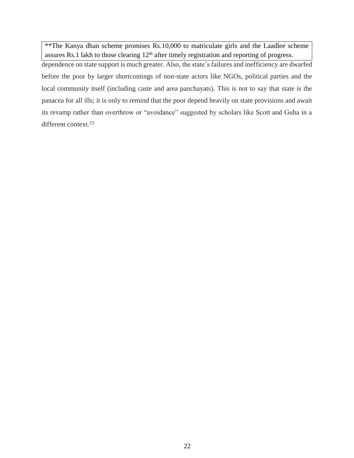\*\*The Kanya dhan scheme promises Rs.10,000 to matriculate girls and the Laadlee scheme assures Rs.1 lakh to those clearing  $12<sup>th</sup>$  after timely registration and reporting of progress.

dependence on state support is much greater. Also, the state's failures and inefficiency are dwarfed before the poor by larger shortcomings of non-state actors like NGOs, political parties and the local community itself (including caste and area panchayats). This is not to say that state is the panacea for all ills; it is only to remind that the poor depend heavily on state provisions and await its revamp rather than overthrow or "avoidance" suggested by scholars like Scott and Guha in a different context.<sup>23</sup>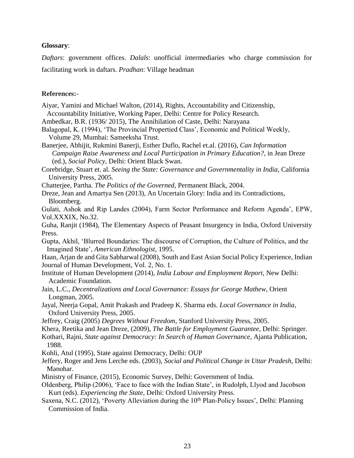### **Glossary**:

*Daftars*: government offices. *Dalals*: unofficial intermediaries who charge commission for facilitating work in daftars. *Pradhan*: Village headman

### **References:-**

- Aiyar, Yamini and Michael Walton, (2014), Rights, Accountability and Citizenship, Accountability Initiative, Working Paper, Delhi: Centre for Policy Research.
- Ambedkar, B.R. (1936/ 2015), The Annihilation of Caste, Delhi: Narayana
- Balagopal, K. (1994), 'The Provincial Propertied Class', Economic and Political Weekly, Volume 29, Mumbai: Sameeksha Trust.
- Banerjee, Abhijit, Rukmini Banerji, Esther Duflo, Rachel et.al. (2016), *Can Information Campaign Raise Awareness and Local Participation in Primary Education?*, in Jean Dreze (ed.), *Social Policy*, Delhi: Orient Black Swan.
- Corebridge, Stuart et. al. *Seeing the State: Governance and Governmentality in India*, California University Press, 2005.
- Chatterjee, Partha*. The Politics of the Governed,* Permanent Black, 2004.
- Dreze, Jean and Amartya Sen (2013), An Uncertain Glory: India and its Contradictions, Bloomberg.

Gulati, Ashok and Rip Landes (2004), Farm Sector Performance and Reform Agenda', EPW, Vol.XXXIX, No.32.

Guha, Ranjit (1984), The Elementary Aspects of Peasant Insurgency in India, Oxford University Press.

Gupta, Akhil, 'Blurred Boundaries: The discourse of Corruption, the Culture of Politics, and the Imagined State', *American Ethnologist*, 1995.

Haan, Arjan de and Gita Sabharwal (2008), South and East Asian Social Policy Experience, Indian Journal of Human Development, Vol. 2, No. 1.

- Institute of Human Development (2014), *India Labour and Employment Report*, New Delhi: Academic Foundation.
- Jain, L.C., *Decentralizations and Local Governance: Essays for George Mathew*, Orient Longman, 2005.
- Jayal, Neerja Gopal, Amit Prakash and Pradeep K. Sharma eds. *Local Governance in India*, Oxford University Press, 2005.
- Jeffrey, Craig (2005) *Degrees Without Freedom*, Stanford University Press, 2005.
- Khera, Reetika and Jean Dreze, (2009), *The Battle for Employment Guarantee*, Delhi: Springer.
- Kothari, Rajni, *State against Democracy: In Search of Human Governance*, Ajanta Publication,
- 1988.
- Kohli, Atul (1995), State against Democracy, Delhi: OUP
- Jeffery, Roger and Jens Lerche eds. (2003), *Social and Political Change in Uttar Pradesh*, Delhi: Manohar.
- Ministry of Finance, (2015), Economic Survey, Delhi: Government of India.
- Oldenberg, Philip (2006), 'Face to face with the Indian State', in Rudolph, Llyod and Jacobson Kurt (eds). *Experiencing the State*, Delhi: Oxford University Press.
- Saxena, N.C. (2012), 'Poverty Alleviation during the 10<sup>th</sup> Plan-Policy Issues', Delhi: Planning Commission of India.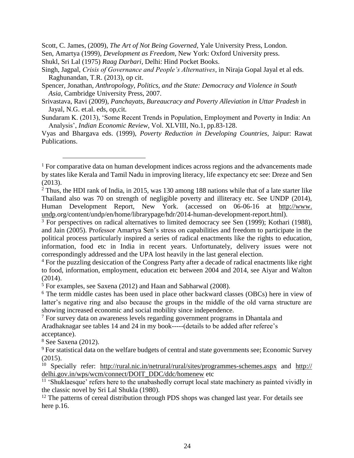Scott, C. James, (2009), *The Art of Not Being Governed*, Yale University Press, London.

Sen, Amartya (1999), *Development as Freedom*, New York: Oxford University press.

- Shukl, Sri Lal (1975) *Raag Darbari,* Delhi: Hind Pocket Books.
- Singh, Jagpal, *Crisis of Governance and People's Alternatives*, in Niraja Gopal Jayal et al eds. Raghunandan, T.R. (2013), op cit.
- Spencer, Jonathan, *Anthropology, Politics, and the State: Democracy and Violence in South Asia*, Cambridge University Press, 2007.
- Srivastava, Ravi (2009), *Panchayats, Bureaucracy and Poverty Alleviation in Uttar Pradesh* in Jayal, N.G. et.al. eds, op,cit.
- Sundaram K. (2013), 'Some Recent Trends in Population, Employment and Poverty in India: An Analysis', *Indian Economic Review*, Vol. XLVIII, No.1, pp.83-128.

Vyas and Bhargava eds. (1999), *Poverty Reduction in Developing Countries*, Jaipur: Rawat Publications.

 $\overline{a}$ 

 $1$  For comparative data on human development indices across regions and the advancements made by states like Kerala and Tamil Nadu in improving literacy, life expectancy etc see: Dreze and Sen (2013).

<sup>&</sup>lt;sup>2</sup> Thus, the HDI rank of India, in 2015, was 130 among 188 nations while that of a late starter like Thailand also was 70 on strength of negligible poverty and illiteracy etc. See UNDP (2014), Human Development Report, New York. (accessed on 06-06-16 at http://www. undp.org/content/undp/en/home/librarypage/hdr/2014-human-development-report.html).

 $3$  For perspectives on radical alternatives to limited democracy see Sen (1999); Kothari (1988), and Jain (2005). Professor Amartya Sen's stress on capabilities and freedom to participate in the political process particularly inspired a series of radical enactments like the rights to education, information, food etc in India in recent years. Unfortunately, delivery issues were not correspondingly addressed and the UPA lost heavily in the last general election.

<sup>&</sup>lt;sup>4</sup> For the puzzling desiccation of the Congress Party after a decade of radical enactments like right to food, information, employment, education etc between 2004 and 2014, see Aiyar and Walton (2014).

<sup>5</sup> For examples, see Saxena (2012) and Haan and Sabharwal (2008).

<sup>6</sup> The term middle castes has been used in place other backward classes (OBCs) here in view of latter's negative ring and also because the groups in the middle of the old varna structure are showing increased economic and social mobility since independence.

<sup>7</sup> For survey data on awareness levels regarding government programs in Dhantala and Aradhaknagar see tables 14 and 24 in my book-----(details to be added after referee's acceptance).

<sup>8</sup> See Saxena (2012).

<sup>&</sup>lt;sup>9</sup> For statistical data on the welfare budgets of central and state governments see; Economic Survey (2015).

<sup>10</sup> Specially refer: <http://rural.nic.in/netrural/rural/sites/programmes-schemes.aspx> and http:// delhi.gov.in/wps/wcm/connect/DOIT\_DDC/ddc/homenew etc

<sup>&</sup>lt;sup>11</sup> 'Shuklaesque' refers here to the unabashedly corrupt local state machinery as painted vividly in the classic novel by Sri Lal Shukla (1980)*.*

<sup>&</sup>lt;sup>12</sup> The patterns of cereal distribution through PDS shops was changed last year. For details see here p.16.